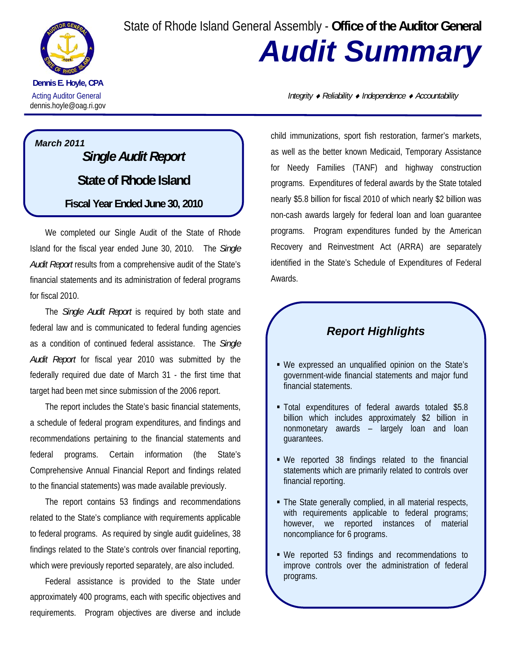State of Rhode Island General Assembly - **Office of the Auditor General**



**Dennis E. Hoyle, CPA**  dennis.hoyle@oag.ri.gov

## *March 2011 Single Audit Report*  **State of Rhode Island Fiscal Year Ended June 30, 2010**

We completed our Single Audit of the State of Rhode Island for the fiscal year ended June 30, 2010. The *Single Audit Report* results from a comprehensive audit of the State's financial statements and its administration of federal programs for fiscal 2010.

The *Single Audit Report* is required by both state and federal law and is communicated to federal funding agencies as a condition of continued federal assistance. The *Single Audit Report* for fiscal year 2010 was submitted by the federally required due date of March 31 - the first time that target had been met since submission of the 2006 report.

The report includes the State's basic financial statements, a schedule of federal program expenditures, and findings and recommendations pertaining to the financial statements and federal programs. Certain information (the State's Comprehensive Annual Financial Report and findings related to the financial statements) was made available previously.

The report contains 53 findings and recommendations related to the State's compliance with requirements applicable to federal programs. As required by single audit guidelines, 38 findings related to the State's controls over financial reporting, which were previously reported separately, are also included.

Federal assistance is provided to the State under approximately 400 programs, each with specific objectives and requirements. Program objectives are diverse and include

Acting Auditor General *Integrity* ♦ *Reliability* ♦ *Independence* ♦ *Accountability*

*Audit Summary* 

child immunizations, sport fish restoration, farmer's markets, as well as the better known Medicaid, Temporary Assistance for Needy Families (TANF) and highway construction programs. Expenditures of federal awards by the State totaled nearly \$5.8 billion for fiscal 2010 of which nearly \$2 billion was non-cash awards largely for federal loan and loan guarantee programs. Program expenditures funded by the American Recovery and Reinvestment Act (ARRA) are separately identified in the State's Schedule of Expenditures of Federal Awards.

## *Report Highlights*

- We expressed an unqualified opinion on the State's government-wide financial statements and major fund financial statements.
- Total expenditures of federal awards totaled \$5.8 billion which includes approximately \$2 billion in nonmonetary awards – largely loan and loan guarantees.
- We reported 38 findings related to the financial statements which are primarily related to controls over financial reporting.
- The State generally complied, in all material respects, with requirements applicable to federal programs; however, we reported instances of material noncompliance for 6 programs.
- We reported 53 findings and recommendations to improve controls over the administration of federal programs.